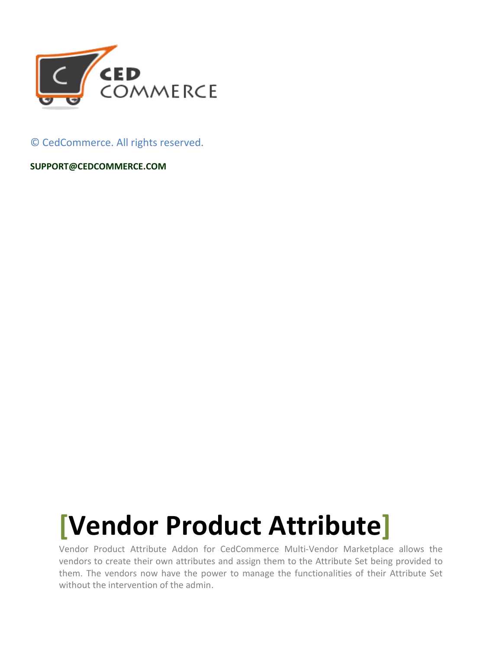

© CedCommerce. All rights reserved.

**SUPPORT@CEDCOMMERCE.COM**

# **[Vendor Product Attribute]**

Vendor Product Attribute Addon for CedCommerce Multi-Vendor Marketplace allows the vendors to create their own attributes and assign them to the Attribute Set being provided to them. The vendors now have the power to manage the functionalities of their Attribute Set without the intervention of the admin.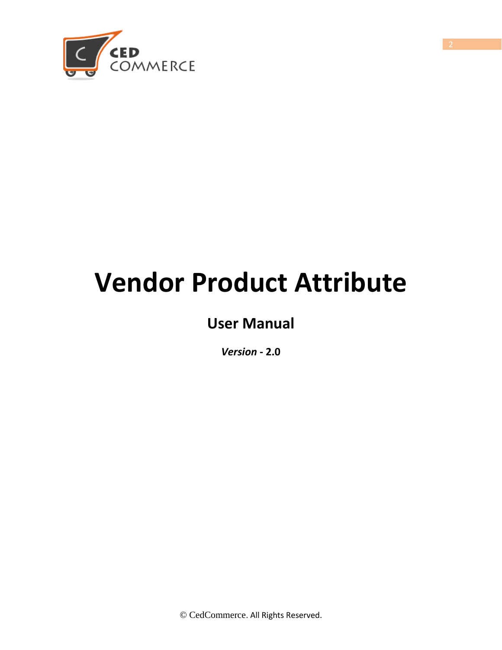

# **Vendor Product Attribute**

# **User Manual**

*Version* **- 2.0**

© CedCommerce. All Rights Reserved.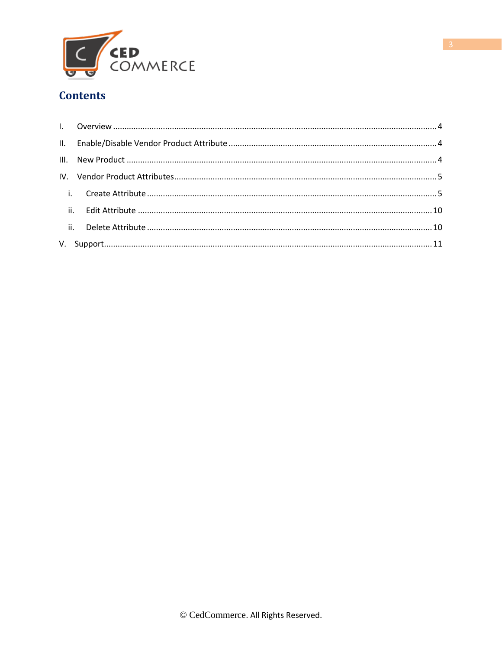

# **Contents**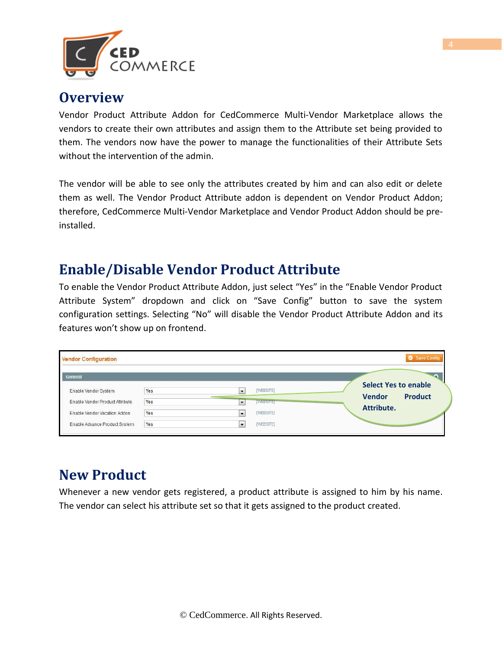

# <span id="page-3-0"></span>**Overview**

Vendor Product Attribute Addon for CedCommerce Multi-Vendor Marketplace allows the vendors to create their own attributes and assign them to the Attribute set being provided to them. The vendors now have the power to manage the functionalities of their Attribute Sets without the intervention of the admin.

The vendor will be able to see only the attributes created by him and can also edit or delete them as well. The Vendor Product Attribute addon is dependent on Vendor Product Addon; therefore, CedCommerce Multi-Vendor Marketplace and Vendor Product Addon should be preinstalled.

# **Enable/Disable Vendor Product Attribute**

To enable the Vendor Product Attribute Addon, just select "Yes" in the "Enable Vendor Product Attribute System" dropdown and click on "Save Config" button to save the system configuration settings. Selecting "No" will disable the Vendor Product Attribute Addon and its features won't show up on frontend.

| <b>Vendor Configuration</b>     |     |                          |                |                             | Save Config    |
|---------------------------------|-----|--------------------------|----------------|-----------------------------|----------------|
| General                         |     |                          |                |                             |                |
| Enable Vendor System            | Yes | $\overline{\phantom{a}}$ | [WEBSITE]      | <b>Select Yes to enable</b> |                |
| Enable Vendor Product Attribute | Yes | $\overline{\phantom{a}}$ | <b>WEBSITE</b> | <b>Vendor</b>               | <b>Product</b> |
| Enable Vendor Vacation Addon    | Yes | $\cdot$                  | [WEBSITE]      | Attribute.                  |                |
| Enable Advance Product System   | Yes | $\overline{\phantom{a}}$ | [WEBSITE]      |                             |                |

# **New Product**

Whenever a new vendor gets registered, a product attribute is assigned to him by his name. The vendor can select his attribute set so that it gets assigned to the product created.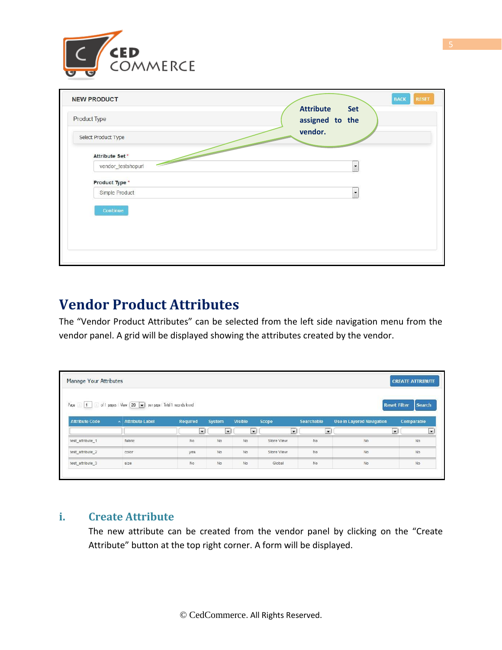

| <b>NEW PRODUCT</b><br>Product Type                                                                                                                                                                                                                                                                                                                                     | <b>BACK</b><br><b>RESET</b><br><b>Attribute</b><br>Set<br>assigned to the |
|------------------------------------------------------------------------------------------------------------------------------------------------------------------------------------------------------------------------------------------------------------------------------------------------------------------------------------------------------------------------|---------------------------------------------------------------------------|
| Select Product Type                                                                                                                                                                                                                                                                                                                                                    | vendor.                                                                   |
| Attribute Set*                                                                                                                                                                                                                                                                                                                                                         |                                                                           |
| $\frac{1}{\sqrt{2}}\int_{0}^{1}f(t)dt\int_{0}^{1}f(t)dt\int_{0}^{1}f(t)dt\int_{0}^{1}f(t)dt\int_{0}^{1}f(t)dt\int_{0}^{1}f(t)dt\int_{0}^{1}f(t)dt\int_{0}^{1}f(t)dt\int_{0}^{1}f(t)dt\int_{0}^{1}f(t)dt\int_{0}^{1}f(t)dt\int_{0}^{1}f(t)dt\int_{0}^{1}f(t)dt\int_{0}^{1}f(t)dt\int_{0}^{1}f(t)dt\int_{0}^{1}f(t)dt\int_{0}^{1}f(t)dt\int_{0}^{$<br>vendor_testshopurl | $\overline{\phantom{a}}$                                                  |
| Product Type *                                                                                                                                                                                                                                                                                                                                                         |                                                                           |
| Simple Product                                                                                                                                                                                                                                                                                                                                                         | $\overline{\phantom{a}}$                                                  |
| Continue                                                                                                                                                                                                                                                                                                                                                               |                                                                           |
|                                                                                                                                                                                                                                                                                                                                                                        |                                                                           |
|                                                                                                                                                                                                                                                                                                                                                                        |                                                                           |
|                                                                                                                                                                                                                                                                                                                                                                        |                                                                           |

# **Vendor Product Attributes**

The "Vendor Product Attributes" can be selected from the left side navigation menu from the vendor panel. A grid will be displayed showing the attributes created by the vendor.

| Manage Your Attributes |                                                               |                          |         |                |                          |                          |                                  | <b>CREATE ATTRIBUTE</b>                     |
|------------------------|---------------------------------------------------------------|--------------------------|---------|----------------|--------------------------|--------------------------|----------------------------------|---------------------------------------------|
| Page 1 1 0             | of 1 pages   View   20   v   per page   Total 1 records found |                          |         |                |                          |                          |                                  | Search<br><b>Reset Filter</b>               |
| <b>Attribute Code</b>  | <b>Attribute Label</b><br>$\sim$                              | Required                 | System  | <b>Visible</b> | Scope                    | Searchable               | <b>Use in Layered Navigation</b> | Comparable                                  |
|                        |                                                               | $\overline{\phantom{a}}$ | $\cdot$ | $\overline{ }$ | $\overline{\phantom{a}}$ | $\overline{\phantom{a}}$ |                                  | $\overline{\phantom{a}}$<br>$\vert$ $\vert$ |
| test_attribute_1       | fabric                                                        | No                       | No      | No             | Store View               | No                       | $_{\rm No}$                      | $\mathsf{No}$                               |
| test_attribute_2       | color                                                         | yes                      | No      | No             | Store View               | No                       | No                               | No:                                         |
| test_attribute_3       | size                                                          | No.                      | No      | No             | Global                   | No                       | No                               | No.                                         |

# **i. Create Attribute**

The new attribute can be created from the vendor panel by clicking on the "Create Attribute" button at the top right corner. A form will be displayed.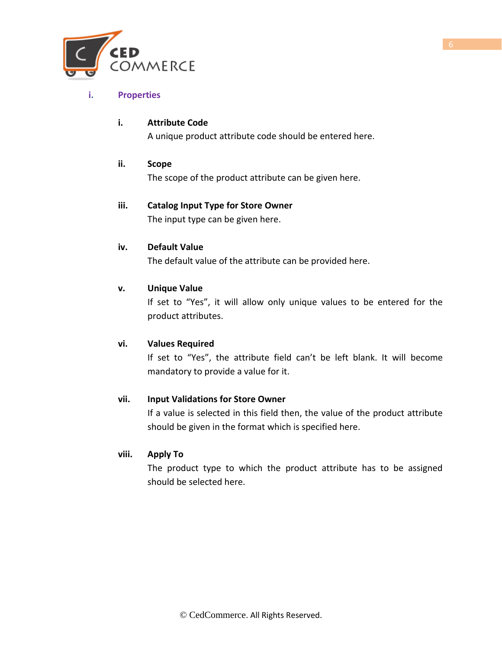

## **i. Properties**

# **i. Attribute Code**

A unique product attribute code should be entered here.

## **ii. Scope**

The scope of the product attribute can be given here.

# **iii. Catalog Input Type for Store Owner**

The input type can be given here.

#### **iv. Default Value**

The default value of the attribute can be provided here.

## **v. Unique Value**

If set to "Yes", it will allow only unique values to be entered for the product attributes.

#### **vi. Values Required**

If set to "Yes", the attribute field can't be left blank. It will become mandatory to provide a value for it.

# **vii. Input Validations for Store Owner**

If a value is selected in this field then, the value of the product attribute should be given in the format which is specified here.

#### **viii. Apply To**

The product type to which the product attribute has to be assigned should be selected here.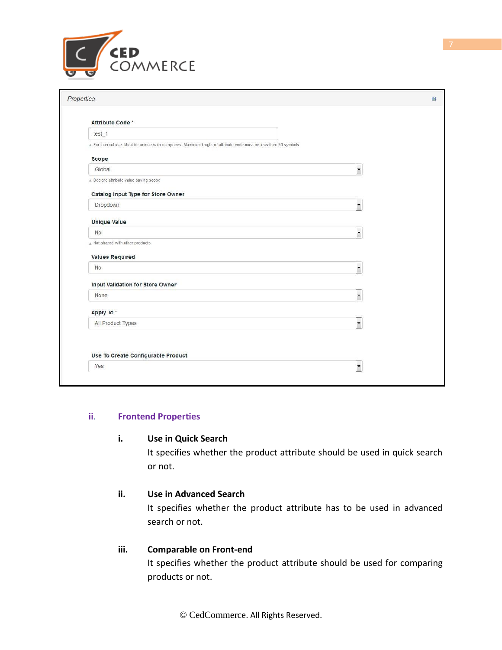

| Properties                              |                                                                                                                | 日 |
|-----------------------------------------|----------------------------------------------------------------------------------------------------------------|---|
| Attribute Code *                        |                                                                                                                |   |
| test_1                                  |                                                                                                                |   |
|                                         | For internal use. Must be unique with no spaces. Maximum length of attribute code must be less then 30 symbols |   |
| <b>Scope</b>                            |                                                                                                                |   |
| Global                                  | $\overline{\phantom{a}}$                                                                                       |   |
| A Declare attribute value saving scope  |                                                                                                                |   |
| Catalog Input Type for Store Owner      |                                                                                                                |   |
| Dropdown                                | $\overline{\phantom{0}}$                                                                                       |   |
| <b>Unique Value</b>                     |                                                                                                                |   |
| <b>No</b>                               | $\overline{\phantom{a}}$                                                                                       |   |
| A Not shared with other products        |                                                                                                                |   |
| <b>Values Required</b>                  |                                                                                                                |   |
| No                                      | $\overline{\phantom{a}}$                                                                                       |   |
| <b>Input Validation for Store Owner</b> |                                                                                                                |   |
| None                                    | $\overline{\phantom{0}}$                                                                                       |   |
| Apply To*                               |                                                                                                                |   |
| All Product Types                       | $\overline{\phantom{a}}$                                                                                       |   |
| Use To Create Configurable Product      |                                                                                                                |   |
| Yes                                     | $\overline{\phantom{0}}$                                                                                       |   |

#### **ii**. **Frontend Properties**

#### **i. Use in Quick Search**

It specifies whether the product attribute should be used in quick search or not.

# **ii. Use in Advanced Search**

It specifies whether the product attribute has to be used in advanced search or not.

#### **iii. Comparable on Front-end**

It specifies whether the product attribute should be used for comparing products or not.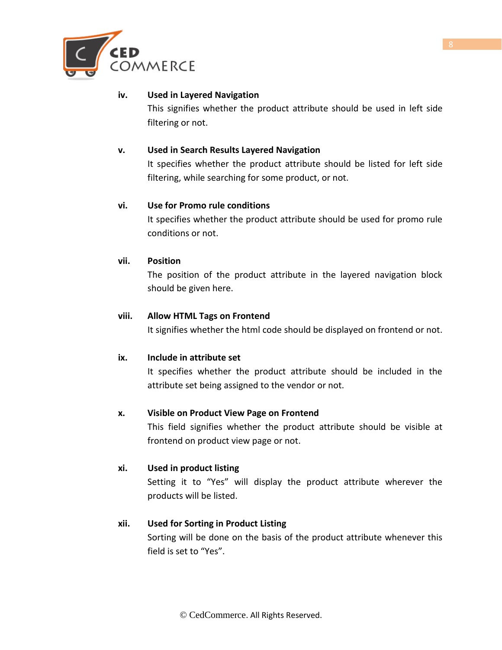

## **iv. Used in Layered Navigation**

This signifies whether the product attribute should be used in left side filtering or not.

## **v. Used in Search Results Layered Navigation**

It specifies whether the product attribute should be listed for left side filtering, while searching for some product, or not.

## **vi. Use for Promo rule conditions**

It specifies whether the product attribute should be used for promo rule conditions or not.

## **vii. Position**

The position of the product attribute in the layered navigation block should be given here.

## **viii. Allow HTML Tags on Frontend**

It signifies whether the html code should be displayed on frontend or not.

#### **ix. Include in attribute set**

It specifies whether the product attribute should be included in the attribute set being assigned to the vendor or not.

# **x. Visible on Product View Page on Frontend**

This field signifies whether the product attribute should be visible at frontend on product view page or not.

#### **xi. Used in product listing**

Setting it to "Yes" will display the product attribute wherever the products will be listed.

# **xii. Used for Sorting in Product Listing**

Sorting will be done on the basis of the product attribute whenever this field is set to "Yes".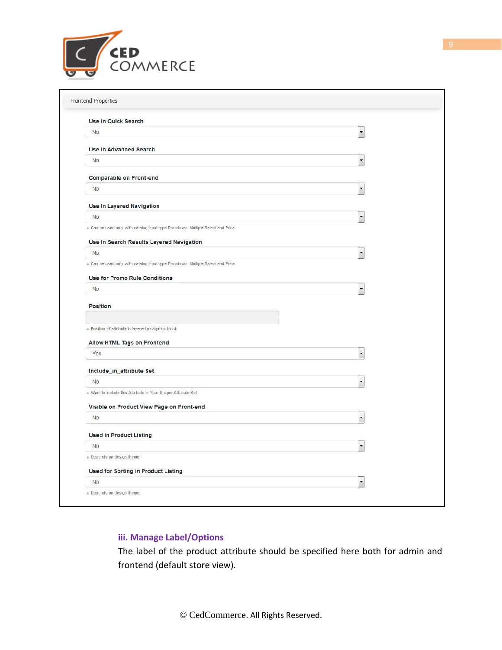

| Use in Quick Search                                                                                                                                 |                          |
|-----------------------------------------------------------------------------------------------------------------------------------------------------|--------------------------|
| <b>No</b>                                                                                                                                           | $\ddot{\phantom{0}}$     |
| <b>Use in Advanced Search</b>                                                                                                                       |                          |
| No                                                                                                                                                  | $\overline{\phantom{a}}$ |
| <b>Comparable on Front-end</b>                                                                                                                      |                          |
| No                                                                                                                                                  | $\overline{\phantom{a}}$ |
| <b>Use In Layered Navigation</b>                                                                                                                    |                          |
| No                                                                                                                                                  | $\overline{\phantom{a}}$ |
| A Can be used only with catalog input type Dropdown, Multiple Select and Price                                                                      |                          |
| Use In Search Results Layered Navigation                                                                                                            |                          |
| No.                                                                                                                                                 | $\ddot{\phantom{0}}$     |
| A Can be used only with catalog input type Dropdown, Multiple Select and Price                                                                      |                          |
| <b>Use for Promo Rule Conditions</b>                                                                                                                |                          |
| No.                                                                                                                                                 | $\overline{\phantom{a}}$ |
| A Position of attribute in layered navigation block                                                                                                 |                          |
| Allow HTML Tags on Frontend                                                                                                                         |                          |
|                                                                                                                                                     |                          |
| Yes                                                                                                                                                 | $\overline{\phantom{a}}$ |
|                                                                                                                                                     |                          |
| <b>No</b>                                                                                                                                           | $\overline{\phantom{a}}$ |
|                                                                                                                                                     |                          |
|                                                                                                                                                     |                          |
| No                                                                                                                                                  | $\overline{\phantom{a}}$ |
| <b>Used in Product Listing</b>                                                                                                                      |                          |
| Include_in_attribute Set<br>A Want to Include this Attribute in Your Unique Attribute Set<br>Visible on Product View Page on Front-end<br><b>No</b> | $\overline{\phantom{a}}$ |
|                                                                                                                                                     |                          |
| Depends on design theme<br><b>Used for Sorting in Product Listing</b>                                                                               |                          |

# **iii. Manage Label/Options**

The label of the product attribute should be specified here both for admin and frontend (default store view).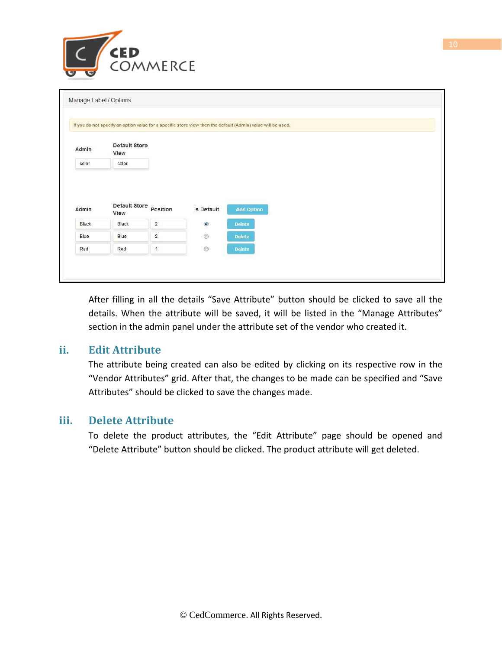

|                |                              |                         |                | If you do not specify an option value for a specific store view then the default (Admin) value will be used. |
|----------------|------------------------------|-------------------------|----------------|--------------------------------------------------------------------------------------------------------------|
| Admin          | <b>Default Store</b><br>View |                         |                |                                                                                                              |
| color          | color                        |                         |                |                                                                                                              |
|                |                              |                         |                |                                                                                                              |
|                | <b>Default Store</b><br>View | Position                | Is Default     | Add Option                                                                                                   |
| Admin<br>Black | Black                        | $\overline{\mathbf{2}}$ | $\circledcirc$ | <b>Delete</b>                                                                                                |
| Blue           | Blue                         | $\overline{2}$          | $\circ$        | <b>Delete</b>                                                                                                |

After filling in all the details "Save Attribute" button should be clicked to save all the details. When the attribute will be saved, it will be listed in the "Manage Attributes" section in the admin panel under the attribute set of the vendor who created it.

# **ii. Edit Attribute**

The attribute being created can also be edited by clicking on its respective row in the "Vendor Attributes" grid. After that, the changes to be made can be specified and "Save Attributes" should be clicked to save the changes made.

# **iii. Delete Attribute**

To delete the product attributes, the "Edit Attribute" page should be opened and "Delete Attribute" button should be clicked. The product attribute will get deleted.